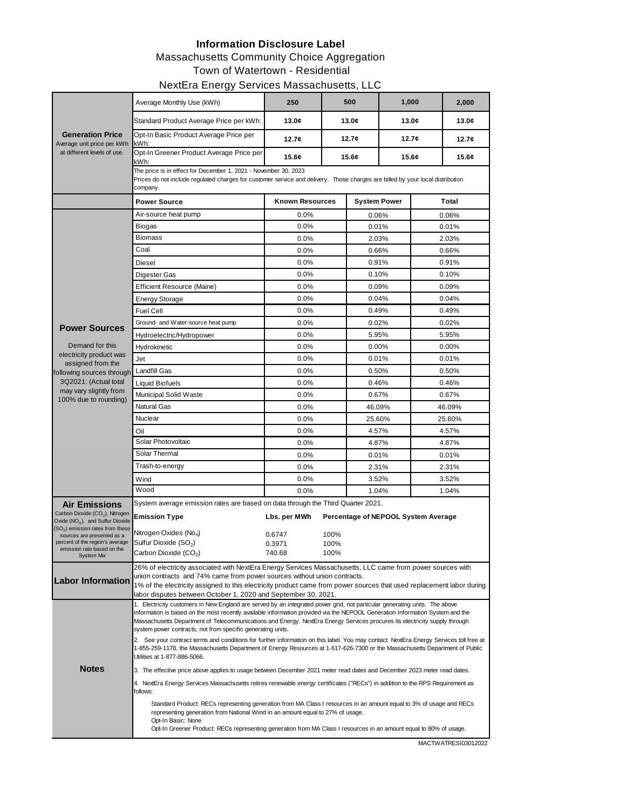## **Information Disclosure Label**

#### Massachusetts Community Choice Aggregation

Town of Watertown - Residential

#### NextEra Energy Services Massachusetts, LLC

|                                                                                      | Average Monthly Use (kWh)                                                                                                                                                                                                                                             | 250                    |      | 500    | 1,000               |        | 2,000 |  |  |  |
|--------------------------------------------------------------------------------------|-----------------------------------------------------------------------------------------------------------------------------------------------------------------------------------------------------------------------------------------------------------------------|------------------------|------|--------|---------------------|--------|-------|--|--|--|
| <b>Generation Price</b><br>Average unit price per kWh<br>at different levels of use. | Standard Product Average Price per kWh:                                                                                                                                                                                                                               | 13.0c                  |      | 13.0c  | 13.0c               |        | 13.0c |  |  |  |
|                                                                                      | Opt-In Basic Product Average Price per<br>kWh:                                                                                                                                                                                                                        | 12.7c                  |      | 12.7c  | 12.7c               |        | 12.7c |  |  |  |
|                                                                                      | Opt-In Greener Product Average Price per<br>kWh:                                                                                                                                                                                                                      | 15.6c                  |      | 15.6c  |                     | 15.6¢  | 15.6c |  |  |  |
|                                                                                      | The price is in effect for December 1, 2021 - November 30, 2023<br>Prices do not include regulated charges for customer service and delivery. Those charges are billed by your local distribution<br>company.                                                         |                        |      |        |                     |        |       |  |  |  |
|                                                                                      | <b>Power Source</b>                                                                                                                                                                                                                                                   | <b>Known Resources</b> |      |        | <b>System Power</b> |        | Total |  |  |  |
|                                                                                      | Air-source heat pump                                                                                                                                                                                                                                                  | 0.0%                   |      | 0.06%  |                     | 0.06%  |       |  |  |  |
|                                                                                      | <b>Biogas</b>                                                                                                                                                                                                                                                         | 0.0%                   |      | 0.01%  |                     | 0.01%  |       |  |  |  |
|                                                                                      | <b>Biomass</b>                                                                                                                                                                                                                                                        | 0.0%                   |      | 2.03%  |                     | 2.03%  |       |  |  |  |
|                                                                                      | Coal                                                                                                                                                                                                                                                                  | 0.0%                   |      | 0.66%  |                     | 0.66%  |       |  |  |  |
|                                                                                      | Diesel                                                                                                                                                                                                                                                                | 0.0%                   |      | 0.91%  |                     | 0.91%  |       |  |  |  |
|                                                                                      | Digester Gas                                                                                                                                                                                                                                                          | 0.0%                   |      | 0.10%  |                     | 0.10%  |       |  |  |  |
|                                                                                      | <b>Efficient Resource (Maine)</b>                                                                                                                                                                                                                                     | 0.0%                   |      | 0.09%  |                     | 0.09%  |       |  |  |  |
|                                                                                      | <b>Energy Storage</b>                                                                                                                                                                                                                                                 | 0.0%                   |      | 0.04%  |                     | 0.04%  |       |  |  |  |
|                                                                                      | <b>Fuel Cell</b>                                                                                                                                                                                                                                                      | 0.0%                   |      | 0.49%  |                     | 0.49%  |       |  |  |  |
| <b>Power Sources</b>                                                                 | Ground- and Water-source heat pump                                                                                                                                                                                                                                    | 0.0%                   |      | 0.02%  |                     | 0.02%  |       |  |  |  |
|                                                                                      | Hydroelectric/Hydropower                                                                                                                                                                                                                                              | 0.0%                   |      | 5.95%  |                     | 5.95%  |       |  |  |  |
| Demand for this                                                                      | Hydrokinetic                                                                                                                                                                                                                                                          | 0.0%                   |      | 0.00%  |                     | 0.00%  |       |  |  |  |
| electricity product was<br>assigned from the                                         | Jet                                                                                                                                                                                                                                                                   | 0.0%                   |      | 0.01%  |                     | 0.01%  |       |  |  |  |
| following sources through                                                            | <b>Landfill Gas</b>                                                                                                                                                                                                                                                   | 0.0%                   |      | 0.50%  |                     | 0.50%  |       |  |  |  |
| 3Q2021: (Actual total                                                                | <b>Liquid Biofuels</b>                                                                                                                                                                                                                                                | 0.0%                   |      | 0.46%  |                     | 0.46%  |       |  |  |  |
| may vary slightly from<br>100% due to rounding)                                      | Municipal Solid Waste                                                                                                                                                                                                                                                 | 0.0%                   |      | 0.67%  |                     | 0.67%  |       |  |  |  |
|                                                                                      | <b>Natural Gas</b>                                                                                                                                                                                                                                                    | 0.0%                   |      | 46.09% |                     | 46.09% |       |  |  |  |
|                                                                                      | Nuclear                                                                                                                                                                                                                                                               | 0.0%                   |      | 25.60% |                     | 25.60% |       |  |  |  |
|                                                                                      | Oil                                                                                                                                                                                                                                                                   | 0.0%                   |      | 4.57%  |                     | 4.57%  |       |  |  |  |
|                                                                                      | Solar Photovoltaic                                                                                                                                                                                                                                                    | 0.0%                   |      | 4.87%  |                     | 4.87%  |       |  |  |  |
|                                                                                      | Solar Thermal                                                                                                                                                                                                                                                         | 0.0%                   |      | 0.01%  |                     | 0.01%  |       |  |  |  |
|                                                                                      | Trash-to-energy                                                                                                                                                                                                                                                       | 0.0%                   |      | 2.31%  |                     | 2.31%  |       |  |  |  |
|                                                                                      | Wind                                                                                                                                                                                                                                                                  | 0.0%                   |      | 3.52%  |                     | 3.52%  |       |  |  |  |
|                                                                                      | Wood                                                                                                                                                                                                                                                                  | 0.0%                   |      | 1.04%  |                     | 1.04%  |       |  |  |  |
| <b>Air Emissions</b>                                                                 | System average emission rates are based on data through the Third Quarter 2021.                                                                                                                                                                                       |                        |      |        |                     |        |       |  |  |  |
| Carbon Dioxide (CO <sub>2</sub> ), Nitrogen<br>Oxide $(NO_x)$ , and Sulfur Dioxide   | Percentage of NEPOOL System Average<br><b>Emission Type</b><br>Lbs. per MWh                                                                                                                                                                                           |                        |      |        |                     |        |       |  |  |  |
| (SO <sub>2</sub> ) emission rates from these<br>sources are presented as a           | Nitrogen Oxides (No <sub>x</sub> )                                                                                                                                                                                                                                    | 0.6747                 | 100% |        |                     |        |       |  |  |  |
| percent of the region's average                                                      | Sulfur Dioxide (SO <sub>2</sub> )                                                                                                                                                                                                                                     | 0.3971                 | 100% |        |                     |        |       |  |  |  |
| emission rate based on the<br>System Mix                                             | $\mathop{\mathsf{Carbon}}\nolimits$ Dioxide (CO $_2$ )                                                                                                                                                                                                                | 740.68                 | 100% |        |                     |        |       |  |  |  |
|                                                                                      | 26% of electricity associated with NextEra Energy Services Massachusetts, LLC came from power sources with                                                                                                                                                            |                        |      |        |                     |        |       |  |  |  |
| <b>Labor Information</b>                                                             | union contracts and 74% came from power sources without union contracts.                                                                                                                                                                                              |                        |      |        |                     |        |       |  |  |  |
|                                                                                      | 1% of the electricity assigned to this electricity product came from power sources that used replacement labor during<br>labor disputes between October 1, 2020 and September 30, 2021.                                                                               |                        |      |        |                     |        |       |  |  |  |
|                                                                                      | 1. Electricity customers in New England are served by an integrated power grid, not particular generating units. The above                                                                                                                                            |                        |      |        |                     |        |       |  |  |  |
|                                                                                      | information is based on the most recently available information provided via the NEPOOL Generation Information System and the<br>Massachusetts Department of Telecommunications and Energy. NextEra Energy Services procures its electricity supply through           |                        |      |        |                     |        |       |  |  |  |
|                                                                                      | system power contracts, not from specific generating units.                                                                                                                                                                                                           |                        |      |        |                     |        |       |  |  |  |
|                                                                                      | 2. See your contract terms and conditions for further information on this label. You may contact NextEra Energy Services toll free at<br>1-855-259-1178, the Massachusetts Department of Energy Resources at 1-617-626-7300 or the Massachusetts Department of Public |                        |      |        |                     |        |       |  |  |  |
|                                                                                      | Utilities at 1-877-886-5066.                                                                                                                                                                                                                                          |                        |      |        |                     |        |       |  |  |  |
| <b>Notes</b>                                                                         | 3. The effective price above applies to usage between December 2021 meter read dates and December 2023 meter read dates.                                                                                                                                              |                        |      |        |                     |        |       |  |  |  |
|                                                                                      | 4. NextEra Energy Services Massachusetts retires renewable energy certificates ("RECs") in addition to the RPS Requirement as<br>follows:                                                                                                                             |                        |      |        |                     |        |       |  |  |  |
|                                                                                      | Standard Product: RECs representing generation from MA Class I resources in an amount equal to 3% of usage and RECs                                                                                                                                                   |                        |      |        |                     |        |       |  |  |  |
|                                                                                      | representing generation from National Wind in an amount equal to 27% of usage.<br>Opt-In Basic: None                                                                                                                                                                  |                        |      |        |                     |        |       |  |  |  |
|                                                                                      | Opt-In Greener Product: RECs representing generation from MA Class I resources in an amount equal to 80% of usage.                                                                                                                                                    |                        |      |        |                     |        |       |  |  |  |